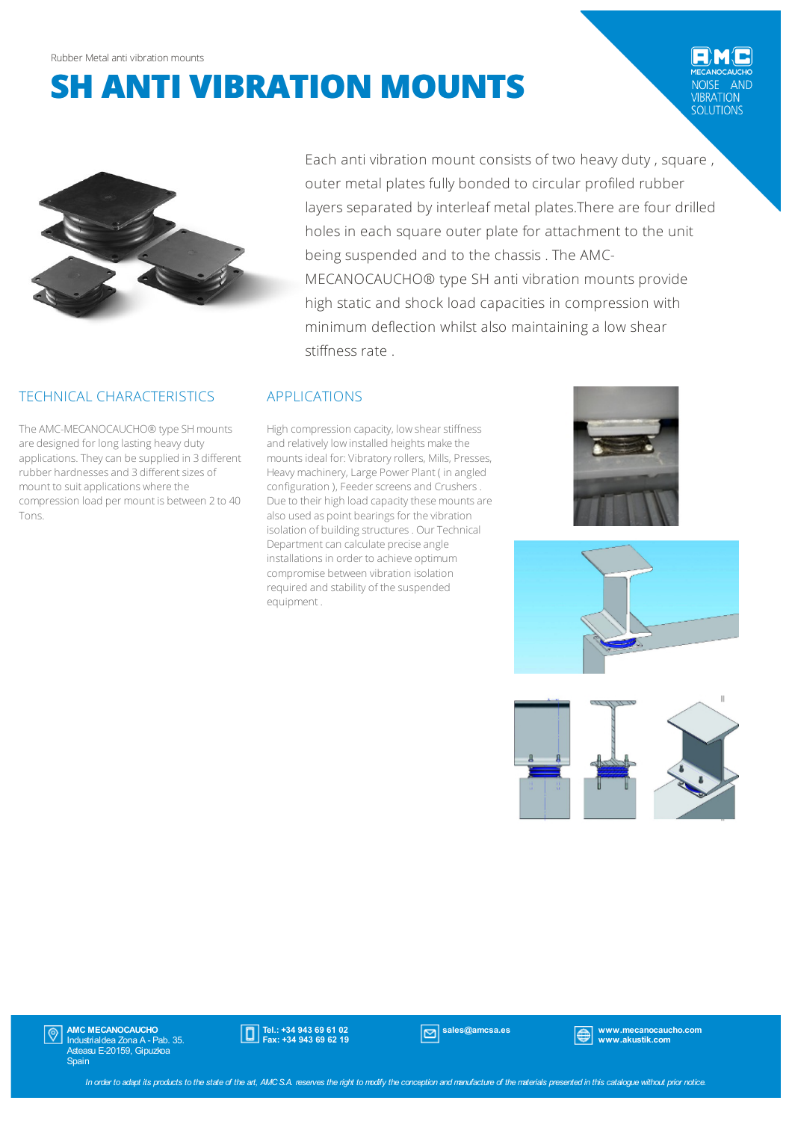# **SH ANTI VIBRATION MOUNTS**





## TECHNICAL CHARACTERISTICS

The AMC-MECANOCAUCHO® type SH mounts are designed for long lasting heavy duty applications.Theycan be supplied in 3 different rubber hardnesses and 3 different sizes of mount to suit applications where the compression load per mount is between 2 to 40 Tons.

Each anti vibration mount consists of two heavy duty, square, outer metal plates fully bonded to circular profiled rubber layers separated by interleaf metal plates.There are four drilled holes in each square outer plate for attachment to the unit being suspended and to the chassis . The AMC-MECANOCAUCHO® type SH anti vibration mounts provide high static and shock load capacities in compression with minimum deflection whilst also maintaining a low shear stiffness rate .

#### APPLICATIONS

High compression capacity, low shear stiffness and relatively low installed heights make the mounts ideal for: Vibratory rollers, Mills, Presses, Heavy machinery, Large Power Plant ( in angled configuration ), Feeder screens and Crushers. Due to their high load capacity these mounts are also used as point bearings for the vibration isolation of building structures. Our Technical Department can calculate precise angle installations in order to achieve optimum compromise between vibration isolation required and stability of the suspended equipment .







**AMC MECANOCAUCHO**<br>Industrialdea Zona A - Pab. 35.  $|\mathbb{Q}|$ Asteasu E-20159, Gipuzkoa **Spain** 



sales@amcsa.es www.mecanocaucho.com www.akustik.com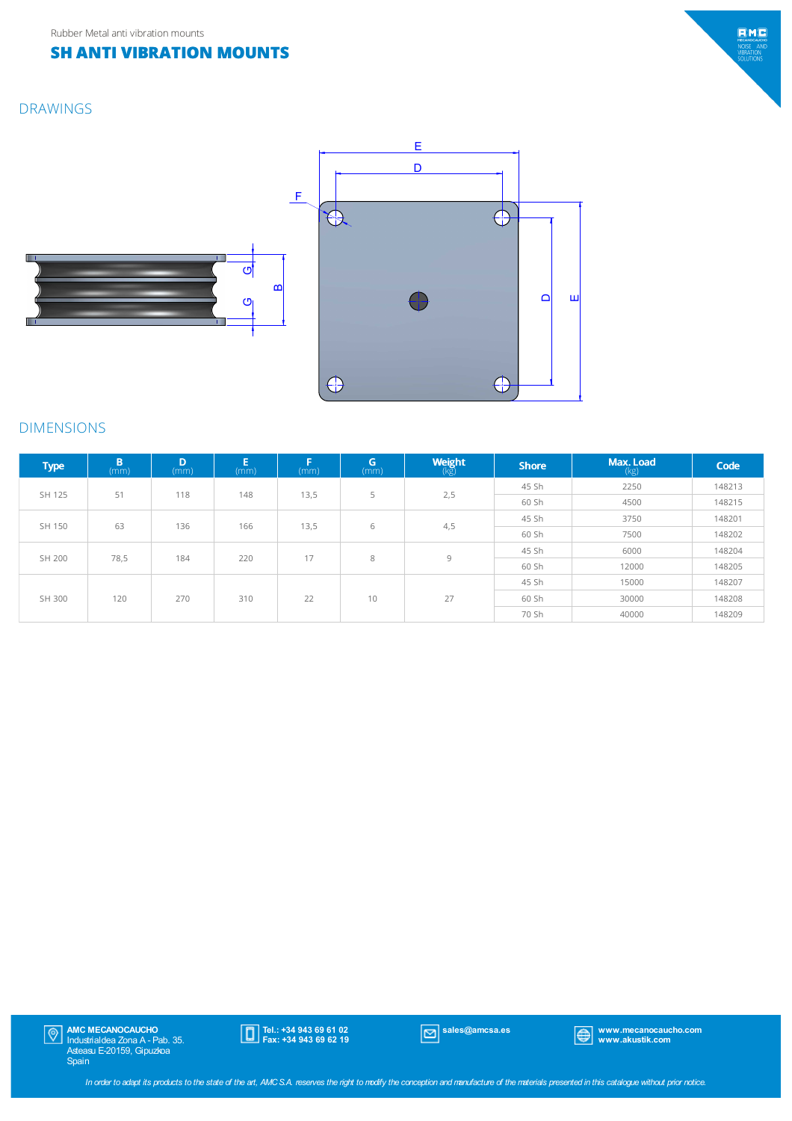## **SH ANTI VIBRATION MOUNTS**

### DRAWINGS





#### DIMENSIONS

| <b>Type</b> | B<br>(mm) | D<br>(mm) | E<br>(mm) | -<br>(mm) | G<br>(mm) | <b>Weight</b> | <b>Shore</b> | Max. Load<br>(kg) | Code   |
|-------------|-----------|-----------|-----------|-----------|-----------|---------------|--------------|-------------------|--------|
| SH 125      | 51        | 118       | 148       | 13,5      | 5         | 2,5           | 45 Sh        | 2250              | 148213 |
|             |           |           |           |           |           |               | 60 Sh        | 4500              | 148215 |
| SH 150      | 63        | 136       | 166       | 13,5      | 6         | 4,5           | 45 Sh        | 3750              | 148201 |
|             |           |           |           |           |           |               | 60 Sh        | 7500              | 148202 |
| SH 200      | 78,5      | 184       | 220       | 17        | 8         | 9             | 45 Sh        | 6000              | 148204 |
|             |           |           |           |           |           |               | 60 Sh        | 12000             | 148205 |
| SH 300      | 120       | 270       | 310       | 22        | 10        | 27            | 45 Sh        | 15000             | 148207 |
|             |           |           |           |           |           |               | 60 Sh        | 30000             | 148208 |
|             |           |           |           |           |           |               | 70 Sh        | 40000             | 148209 |

 $\Omega$ 

 $\bigoplus$ 

 $\bigoplus$ 

E